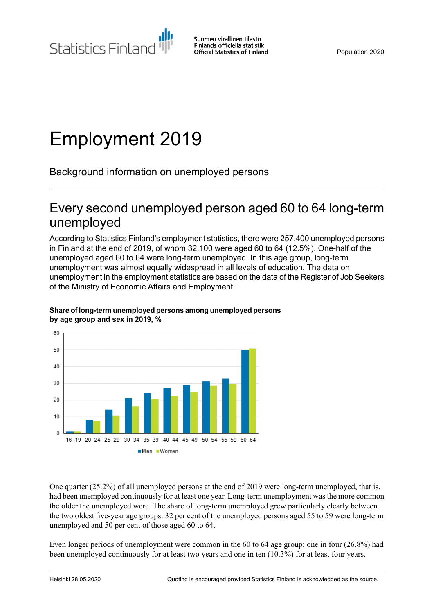Statistics Finland

Suomen virallinen tilasto Finlands officiella statistik **Official Statistics of Finland** 

Population 2020

# Employment 2019

Background information on unemployed persons

# Every second unemployed person aged 60 to 64 long-term unemployed

According to Statistics Finland's employment statistics, there were 257,400 unemployed persons in Finland at the end of 2019, of whom 32,100 were aged 60 to 64 (12.5%). One-half of the unemployed aged 60 to 64 were long-term unemployed. In this age group, long-term unemployment was almost equally widespread in all levels of education. The data on unemployment in the employment statistics are based on the data of the Register of Job Seekers of the Ministry of Economic Affairs and Employment.



#### **Share of long-term unemployed personsamong unemployed persons by age group and sex in 2019, %**

One quarter (25.2%) of all unemployed persons at the end of 2019 were long-term unemployed, that is, had been unemployed continuously for at least one year. Long-term unemployment was the more common the older the unemployed were. The share of long-term unemployed grew particularly clearly between the two oldest five-year age groups: 32 per cent of the unemployed persons aged 55 to 59 were long-term unemployed and 50 per cent of those aged 60 to 64.

Even longer periods of unemployment were common in the 60 to 64 age group: one in four (26.8%) had been unemployed continuously for at least two years and one in ten (10.3%) for at least four years.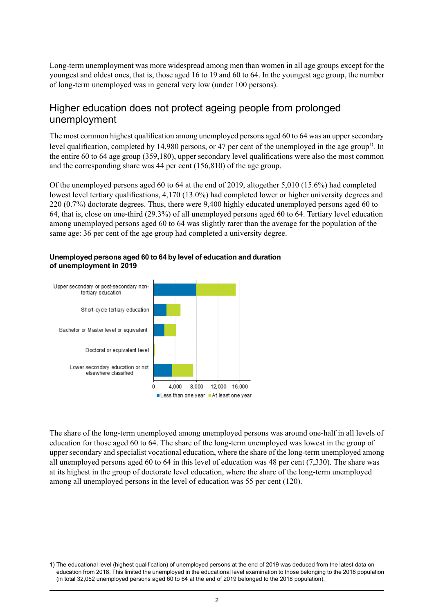Long-term unemployment was more widespread among men than women in all age groups except for the youngest and oldest ones, that is, those aged 16 to 19 and 60 to 64. In the youngest age group, the number of long-term unemployed was in general very low (under 100 persons).

## Higher education does not protect ageing people from prolonged unemployment

The most common highest qualification among unemployed persons aged 60 to 64 was an upper secondary level qualification, completed by 14,980 persons, or 47 per cent of the unemployed in the age group<sup>1)</sup>. In the entire 60 to 64 age group (359,180), upper secondary level qualifications were also the most common and the corresponding share was 44 per cent (156,810) of the age group.

Of the unemployed persons aged 60 to 64 at the end of 2019, altogether 5,010 (15.6%) had completed lowest level tertiary qualifications, 4,170 (13.0%) had completed lower or higher university degrees and 220 (0.7%) doctorate degrees. Thus, there were 9,400 highly educated unemployed persons aged 60 to 64, that is, close on one-third (29.3%) of all unemployed persons aged 60 to 64. Tertiary level education among unemployed persons aged 60 to 64 was slightly rarer than the average for the population of the same age: 36 per cent of the age group had completed a university degree.



#### **Unemployed personsaged 60to 64 bylevel ofeducation and duration of unemployment in 2019**

The share of the long-term unemployed among unemployed persons was around one-half in all levels of education for those aged 60 to 64. The share of the long-term unemployed was lowest in the group of upper secondary and specialist vocational education, where the share of the long-term unemployed among all unemployed persons aged 60 to 64 in this level of education was 48 per cent (7,330). The share was at its highest in the group of doctorate level education, where the share of the long-term unemployed among all unemployed persons in the level of education was 55 per cent (120).

<sup>1)</sup> The educational level (highest qualification) of unemployed persons at the end of 2019 was deduced from the latest data on education from 2018. This limited the unemployed in the educational level examination to those belonging to the 2018 population (in total 32,052 unemployed persons aged 60 to 64 at the end of 2019 belonged to the 2018 population).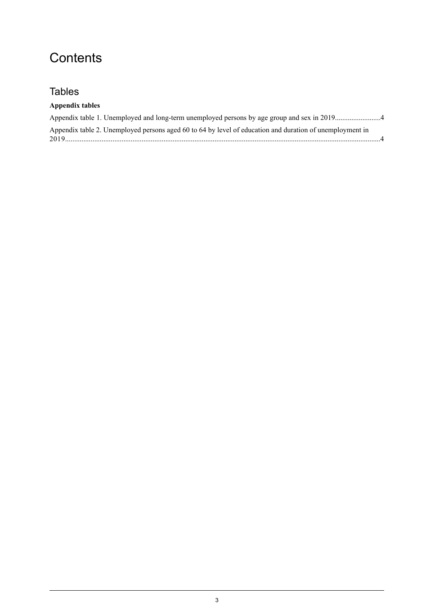# **Contents**

## **Tables**

### **Appendix tables**

| Appendix table 2. Unemployed persons aged 60 to 64 by level of education and duration of unemployment in |
|----------------------------------------------------------------------------------------------------------|
|                                                                                                          |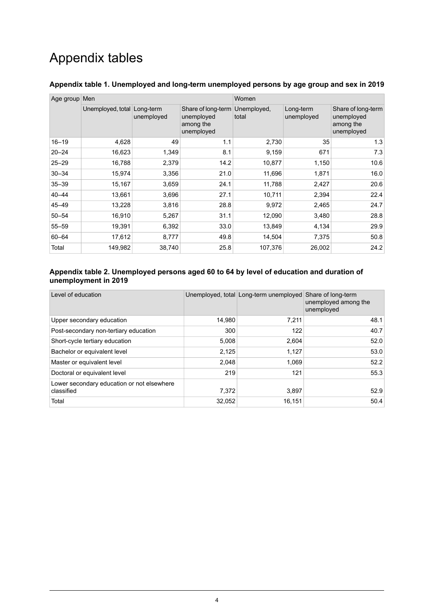# Appendix tables

| Age group Men |                   |                         |                                                             | Women                |                         |                                                             |
|---------------|-------------------|-------------------------|-------------------------------------------------------------|----------------------|-------------------------|-------------------------------------------------------------|
|               | Unemployed, total | Long-term<br>unemployed | Share of long-term<br>unemployed<br>among the<br>unemployed | Unemployed,<br>total | Long-term<br>unemployed | Share of long-term<br>unemployed<br>among the<br>unemployed |
| $16 - 19$     | 4,628             | 49                      | 1.1                                                         | 2,730                | 35                      | 1.3                                                         |
| $20 - 24$     | 16,623            | 1,349                   | 8.1                                                         | 9,159                | 671                     | 7.3                                                         |
| $25 - 29$     | 16,788            | 2,379                   | 14.2                                                        | 10,877               | 1,150                   | 10.6                                                        |
| $30 - 34$     | 15,974            | 3,356                   | 21.0                                                        | 11,696               | 1,871                   | 16.0                                                        |
| $35 - 39$     | 15,167            | 3,659                   | 24.1                                                        | 11,788               | 2,427                   | 20.6                                                        |
| $40 - 44$     | 13,661            | 3,696                   | 27.1                                                        | 10,711               | 2,394                   | 22.4                                                        |
| $45 - 49$     | 13,228            | 3,816                   | 28.8                                                        | 9,972                | 2,465                   | 24.7                                                        |
| $50 - 54$     | 16,910            | 5,267                   | 31.1                                                        | 12,090               | 3,480                   | 28.8                                                        |
| $55 - 59$     | 19,391            | 6,392                   | 33.0                                                        | 13,849               | 4,134                   | 29.9                                                        |
| 60-64         | 17,612            | 8,777                   | 49.8                                                        | 14,504               | 7,375                   | 50.8                                                        |
| Total         | 149,982           | 38,740                  | 25.8                                                        | 107,376              | 26,002                  | 24.2                                                        |

#### <span id="page-3-0"></span>**Appendix table 1. Unemployed and long-term unemployed persons by age group and sex in 2019**

#### <span id="page-3-1"></span>**Appendix table 2. Unemployed persons aged 60 to 64 by level of education and duration of unemployment in 2019**

| Level of education                                       |        | Unemployed, total Long-term unemployed Share of long-term | unemployed among the<br>unemployed |
|----------------------------------------------------------|--------|-----------------------------------------------------------|------------------------------------|
| Upper secondary education                                | 14.980 | 7.211                                                     | 48.1                               |
| Post-secondary non-tertiary education                    | 300    | 122                                                       | 40.7                               |
| Short-cycle tertiary education                           | 5,008  | 2,604                                                     | 52.0                               |
| Bachelor or equivalent level                             | 2,125  | 1,127                                                     | 53.0                               |
| Master or equivalent level                               | 2,048  | 1,069                                                     | 52.2                               |
| Doctoral or equivalent level                             | 219    | 121                                                       | 55.3                               |
| Lower secondary education or not elsewhere<br>classified | 7,372  | 3,897                                                     | 52.9                               |
| Total                                                    | 32,052 | 16,151                                                    | 50.4                               |